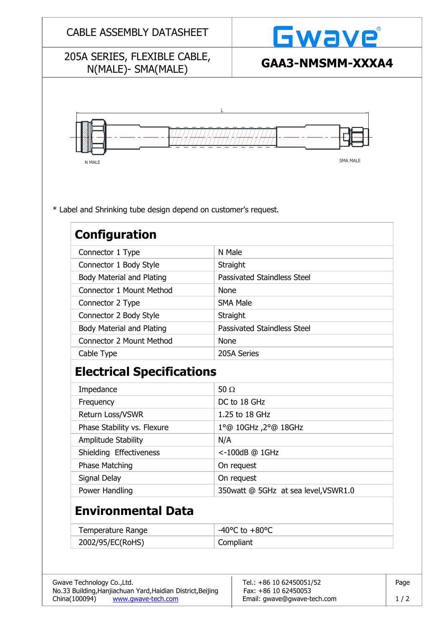|                                                                                         |             | <b>Gwave</b>                         |  |  |
|-----------------------------------------------------------------------------------------|-------------|--------------------------------------|--|--|
| 205A SERIES, FLEXIBLE CABLE,<br>N(MALE)- SMA(MALE)                                      |             | GAA3-NMSMM-XXXA4                     |  |  |
| N MALE                                                                                  |             | <b>SMA MALE</b>                      |  |  |
| * Label and Shrinking tube design depend on customer's request.<br><b>Configuration</b> |             |                                      |  |  |
| Connector 1 Type                                                                        | N Male      |                                      |  |  |
| Connector 1 Body Style                                                                  | Straight    |                                      |  |  |
| <b>Body Material and Plating</b>                                                        |             | <b>Passivated Staindless Steel</b>   |  |  |
| Connector 1 Mount Method                                                                | <b>None</b> |                                      |  |  |
| Connector 2 Type                                                                        |             | <b>SMA Male</b>                      |  |  |
| Connector 2 Body Style                                                                  | Straight    |                                      |  |  |
| <b>Body Material and Plating</b>                                                        |             | <b>Passivated Staindless Steel</b>   |  |  |
| <b>Connector 2 Mount Method</b>                                                         |             | <b>None</b>                          |  |  |
| Cable Type                                                                              |             | 205A Series                          |  |  |
| <b>Electrical Specifications</b>                                                        |             |                                      |  |  |
|                                                                                         | 50 $\Omega$ |                                      |  |  |
| Impedance                                                                               |             |                                      |  |  |
| Frequency                                                                               |             | DC to 18 GHz                         |  |  |
| Return Loss/VSWR                                                                        |             | 1.25 to 18 GHz                       |  |  |
| Phase Stability vs. Flexure                                                             |             | 1º@ 10GHz, 2°@ 18GHz                 |  |  |
| Amplitude Stability                                                                     | N/A         |                                      |  |  |
| Shielding Effectiveness                                                                 |             | <-100dB @ 1GHz                       |  |  |
| <b>Phase Matching</b>                                                                   |             | On request                           |  |  |
| Signal Delay                                                                            |             | On request                           |  |  |
| Power Handling                                                                          |             | 350watt @ 5GHz at sea level, VSWR1.0 |  |  |
| <b>Environmental Data</b>                                                               |             |                                      |  |  |
| Temperature Range                                                                       |             | -40 $^{\circ}$ C to +80 $^{\circ}$ C |  |  |